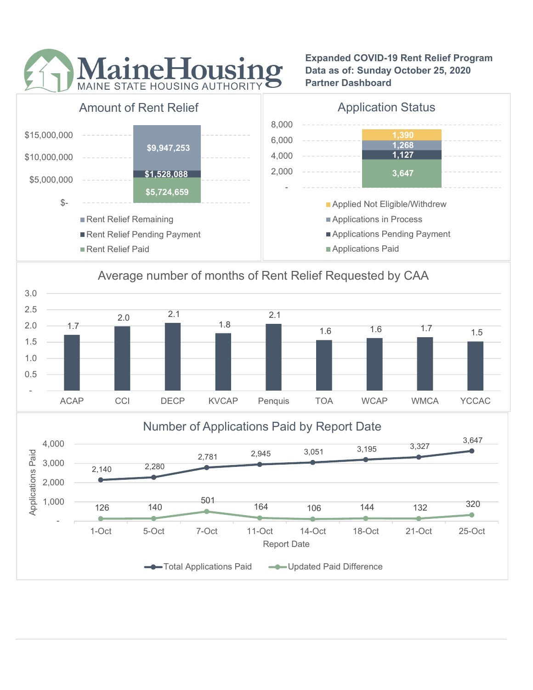

Expanded COVID-19 Rent Relief Program Data as of: Sunday October 25, 2020 Partner Dashboard



# Average number of months of Rent Relief Requested by CAA